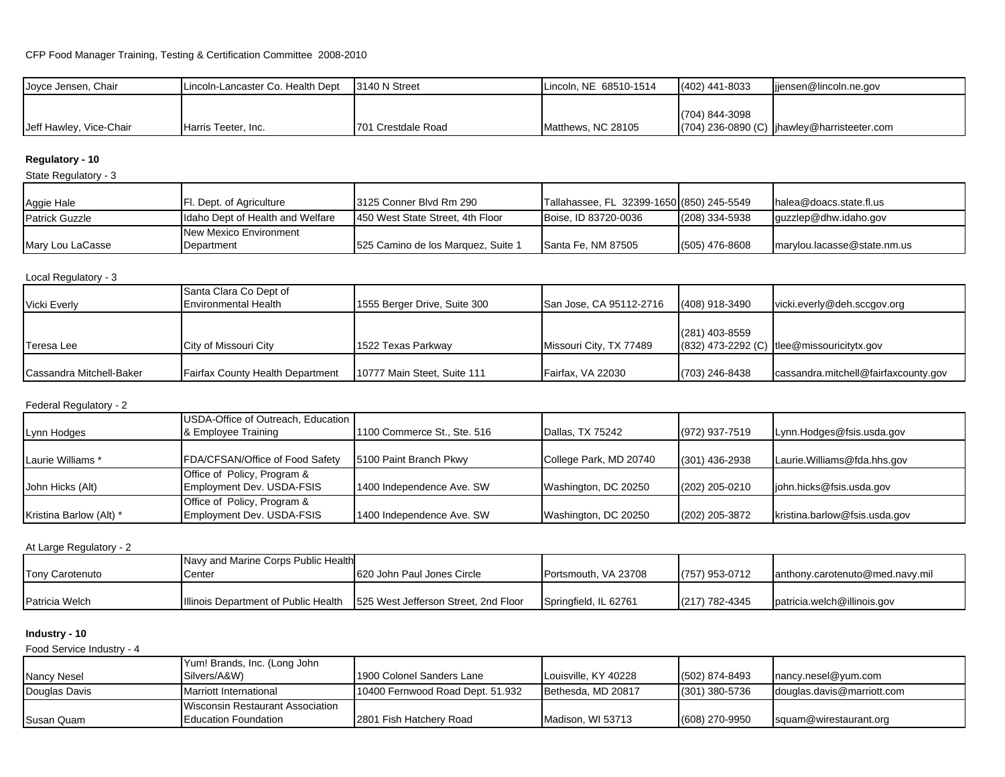| Joyce Jensen, Chair     | Lincoln-Lancaster Co. Health Dept | 13140 N Street     | Lincoln, NE 68510-1514 | (402) 441-8033 | lijensen@lincoln.ne.gov                               |
|-------------------------|-----------------------------------|--------------------|------------------------|----------------|-------------------------------------------------------|
|                         |                                   |                    |                        |                |                                                       |
| Jeff Hawley, Vice-Chair | Harris Teeter, Inc.               | 701 Crestdale Road | Matthews, NC 28105     | (704) 844-3098 | $(704)$ 236-0890 (C) $\vert$ jhawley@harristeeter.com |

# **Regulatory - 10**

State Regulatory - 3

| Aggie Hale            | <b>Fl. Dept. of Agriculture</b>      | 13125 Conner Blvd Rm 290           | Tallahassee, FL 32399-1650 (850) 245-5549 |                  | halea@doacs.state.fl.us     |
|-----------------------|--------------------------------------|------------------------------------|-------------------------------------------|------------------|-----------------------------|
| <b>Patrick Guzzle</b> | Idaho Dept of Health and Welfare     | 1450 West State Street, 4th Floor  | Boise, ID 83720-0036                      | $(208)$ 334-5938 | quzzlep@dhw.idaho.gov       |
| Mary Lou LaCasse      | New Mexico Environment<br>Department | 525 Camino de los Marquez, Suite 1 | Santa Fe, NM 87505                        | (505) 476-8608   | marylou.lacasse@state.nm.us |

| Local Regulatory - 3            |                                         |                              |                         |                |                                              |  |  |  |  |
|---------------------------------|-----------------------------------------|------------------------------|-------------------------|----------------|----------------------------------------------|--|--|--|--|
|                                 | Santa Clara Co Dept of                  |                              |                         |                |                                              |  |  |  |  |
| Vicki Everly                    | <b>Environmental Health</b>             | 1555 Berger Drive, Suite 300 | San Jose, CA 95112-2716 | (408) 918-3490 | vicki.everly@deh.sccgov.org                  |  |  |  |  |
|                                 |                                         |                              |                         |                |                                              |  |  |  |  |
|                                 |                                         |                              |                         | (281) 403-8559 |                                              |  |  |  |  |
| Teresa Lee                      | City of Missouri City                   | 1522 Texas Parkway           | Missouri City, TX 77489 |                | $(832)$ 473-2292 (C) tlee@missouricitytx.gov |  |  |  |  |
|                                 |                                         |                              |                         |                |                                              |  |  |  |  |
| <b>Cassandra Mitchell-Baker</b> | <b>Fairfax County Health Department</b> | 10777 Main Steet, Suite 111  | Fairfax, VA 22030       | (703) 246-8438 | cassandra.mitchell@fairfaxcounty.gov         |  |  |  |  |

### Federal Regulatory - 2

| Lynn Hodges             | USDA-Office of Outreach, Education<br>& Employee Training | 1100 Commerce St., Ste. 516 | Dallas, TX 75242       | (972) 937-7519   | Lynn.Hodges@fsis.usda.gov     |
|-------------------------|-----------------------------------------------------------|-----------------------------|------------------------|------------------|-------------------------------|
| Laurie Williams *       | FDA/CFSAN/Office of Food Safety                           | 5100 Paint Branch Pkwy      | College Park, MD 20740 | $(301)$ 436-2938 | Laurie.Williams@fda.hhs.gov   |
| John Hicks (Alt)        | Office of Policy, Program &<br>Employment Dev. USDA-FSIS  | 1400 Independence Ave. SW   | Washington, DC 20250   | $(202)$ 205-0210 | john.hicks@fsis.usda.gov      |
| Kristina Barlow (Alt) * | Office of Policy, Program &<br>Employment Dev. USDA-FSIS  | 1400 Independence Ave. SW   | Washington, DC 20250   | $(202)$ 205-3872 | kristina.barlow@fsis.usda.gov |

## At Large Regulatory - 2

|                        | Navy and Marine Corps Public Health         |                                      |                       |                  |                                 |
|------------------------|---------------------------------------------|--------------------------------------|-----------------------|------------------|---------------------------------|
| <b>Tony Carotenuto</b> | Center                                      | 1620 John Paul Jones Circle          | Portsmouth, VA 23708  | (757) 953-0712   | anthony.carotenuto@med.navy.mil |
|                        |                                             |                                      |                       |                  |                                 |
| Patricia Welch         | <b>Illinois Department of Public Health</b> | 525 West Jefferson Street, 2nd Floor | Springfield, IL 62761 | $(217)$ 782-4345 | patricia.welch@illinois.gov     |

# **Industry - 10**

Food Service Industry - 4

|               | Yum! Brands, Inc. (Long John     |                                   |                      |                |                            |
|---------------|----------------------------------|-----------------------------------|----------------------|----------------|----------------------------|
| Nancy Nesel   | Silvers/A&W)                     | 1900 Colonel Sanders Lane         | Louisville, KY 40228 | (502) 874-8493 | nancy.nesel@yum.com        |
| Douglas Davis | <b>Marriott International</b>    | 110400 Fernwood Road Dept. 51.932 | Bethesda, MD 20817   | (301) 380-5736 | douglas.davis@marriott.com |
|               | Wisconsin Restaurant Association |                                   |                      |                |                            |
| Susan Quam    | <b>I</b> Education Foundation    | 2801 Fish Hatchery Road           | Madison, WI 53713    | (608) 270-9950 | squam@wirestaurant.org     |